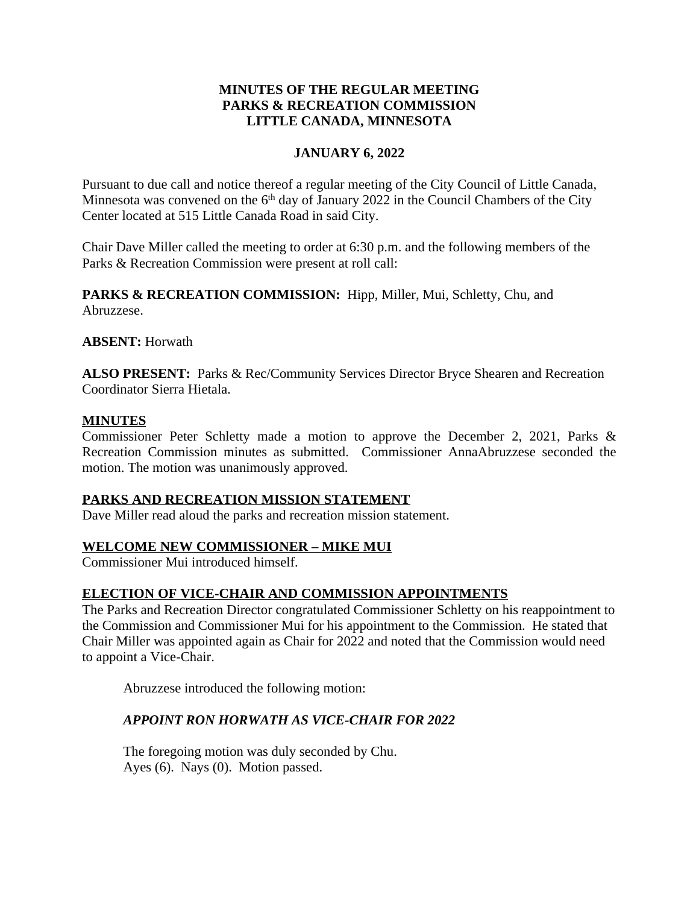## **MINUTES OF THE REGULAR MEETING PARKS & RECREATION COMMISSION LITTLE CANADA, MINNESOTA**

## **JANUARY 6, 2022**

Pursuant to due call and notice thereof a regular meeting of the City Council of Little Canada, Minnesota was convened on the 6<sup>th</sup> day of January 2022 in the Council Chambers of the City Center located at 515 Little Canada Road in said City.

Chair Dave Miller called the meeting to order at 6:30 p.m. and the following members of the Parks & Recreation Commission were present at roll call:

PARKS & RECREATION COMMISSION: Hipp, Miller, Mui, Schletty, Chu, and Abruzzese.

**ABSENT:** Horwath

**ALSO PRESENT:** Parks & Rec/Community Services Director Bryce Shearen and Recreation Coordinator Sierra Hietala.

### **MINUTES**

Commissioner Peter Schletty made a motion to approve the December 2, 2021, Parks & Recreation Commission minutes as submitted. Commissioner AnnaAbruzzese seconded the motion. The motion was unanimously approved.

### **PARKS AND RECREATION MISSION STATEMENT**

Dave Miller read aloud the parks and recreation mission statement.

# **WELCOME NEW COMMISSIONER – MIKE MUI**

Commissioner Mui introduced himself.

### **ELECTION OF VICE-CHAIR AND COMMISSION APPOINTMENTS**

The Parks and Recreation Director congratulated Commissioner Schletty on his reappointment to the Commission and Commissioner Mui for his appointment to the Commission. He stated that Chair Miller was appointed again as Chair for 2022 and noted that the Commission would need to appoint a Vice-Chair.

Abruzzese introduced the following motion:

### *APPOINT RON HORWATH AS VICE-CHAIR FOR 2022*

The foregoing motion was duly seconded by Chu. Ayes (6). Nays (0). Motion passed.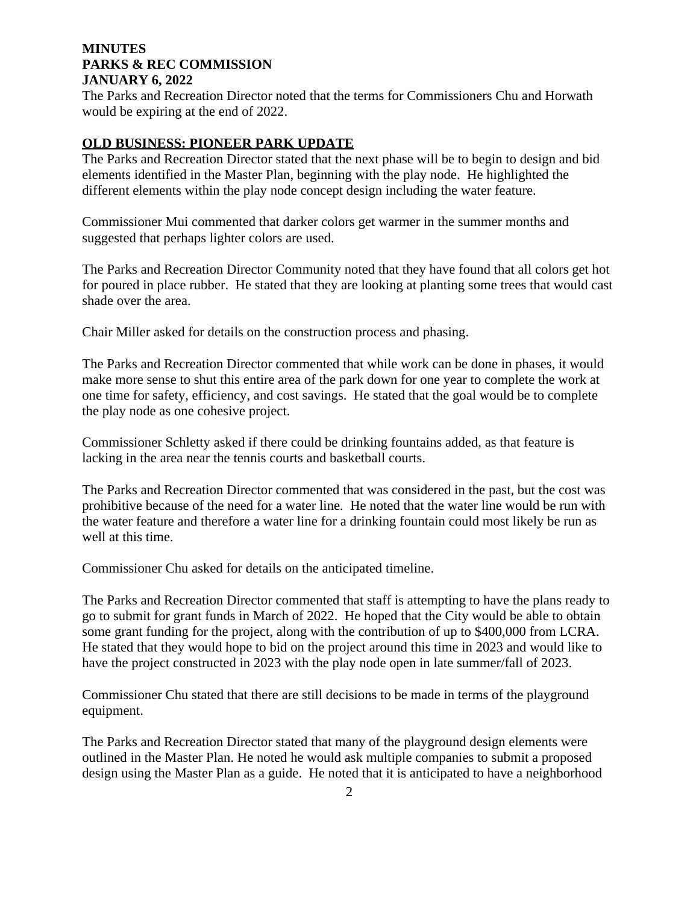The Parks and Recreation Director noted that the terms for Commissioners Chu and Horwath would be expiring at the end of 2022.

#### **OLD BUSINESS: PIONEER PARK UPDATE**

The Parks and Recreation Director stated that the next phase will be to begin to design and bid elements identified in the Master Plan, beginning with the play node. He highlighted the different elements within the play node concept design including the water feature.

Commissioner Mui commented that darker colors get warmer in the summer months and suggested that perhaps lighter colors are used.

The Parks and Recreation Director Community noted that they have found that all colors get hot for poured in place rubber. He stated that they are looking at planting some trees that would cast shade over the area.

Chair Miller asked for details on the construction process and phasing.

The Parks and Recreation Director commented that while work can be done in phases, it would make more sense to shut this entire area of the park down for one year to complete the work at one time for safety, efficiency, and cost savings. He stated that the goal would be to complete the play node as one cohesive project.

Commissioner Schletty asked if there could be drinking fountains added, as that feature is lacking in the area near the tennis courts and basketball courts.

The Parks and Recreation Director commented that was considered in the past, but the cost was prohibitive because of the need for a water line. He noted that the water line would be run with the water feature and therefore a water line for a drinking fountain could most likely be run as well at this time.

Commissioner Chu asked for details on the anticipated timeline.

The Parks and Recreation Director commented that staff is attempting to have the plans ready to go to submit for grant funds in March of 2022. He hoped that the City would be able to obtain some grant funding for the project, along with the contribution of up to \$400,000 from LCRA. He stated that they would hope to bid on the project around this time in 2023 and would like to have the project constructed in 2023 with the play node open in late summer/fall of 2023.

Commissioner Chu stated that there are still decisions to be made in terms of the playground equipment.

The Parks and Recreation Director stated that many of the playground design elements were outlined in the Master Plan. He noted he would ask multiple companies to submit a proposed design using the Master Plan as a guide. He noted that it is anticipated to have a neighborhood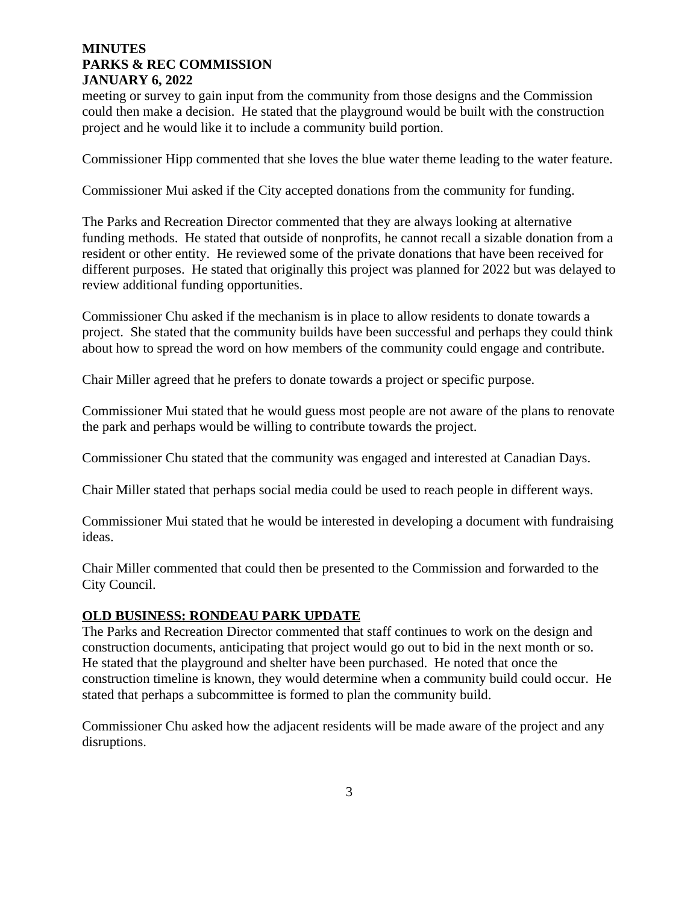meeting or survey to gain input from the community from those designs and the Commission could then make a decision. He stated that the playground would be built with the construction project and he would like it to include a community build portion.

Commissioner Hipp commented that she loves the blue water theme leading to the water feature.

Commissioner Mui asked if the City accepted donations from the community for funding.

The Parks and Recreation Director commented that they are always looking at alternative funding methods. He stated that outside of nonprofits, he cannot recall a sizable donation from a resident or other entity. He reviewed some of the private donations that have been received for different purposes. He stated that originally this project was planned for 2022 but was delayed to review additional funding opportunities.

Commissioner Chu asked if the mechanism is in place to allow residents to donate towards a project. She stated that the community builds have been successful and perhaps they could think about how to spread the word on how members of the community could engage and contribute.

Chair Miller agreed that he prefers to donate towards a project or specific purpose.

Commissioner Mui stated that he would guess most people are not aware of the plans to renovate the park and perhaps would be willing to contribute towards the project.

Commissioner Chu stated that the community was engaged and interested at Canadian Days.

Chair Miller stated that perhaps social media could be used to reach people in different ways.

Commissioner Mui stated that he would be interested in developing a document with fundraising ideas.

Chair Miller commented that could then be presented to the Commission and forwarded to the City Council.

### **OLD BUSINESS: RONDEAU PARK UPDATE**

The Parks and Recreation Director commented that staff continues to work on the design and construction documents, anticipating that project would go out to bid in the next month or so. He stated that the playground and shelter have been purchased. He noted that once the construction timeline is known, they would determine when a community build could occur. He stated that perhaps a subcommittee is formed to plan the community build.

Commissioner Chu asked how the adjacent residents will be made aware of the project and any disruptions.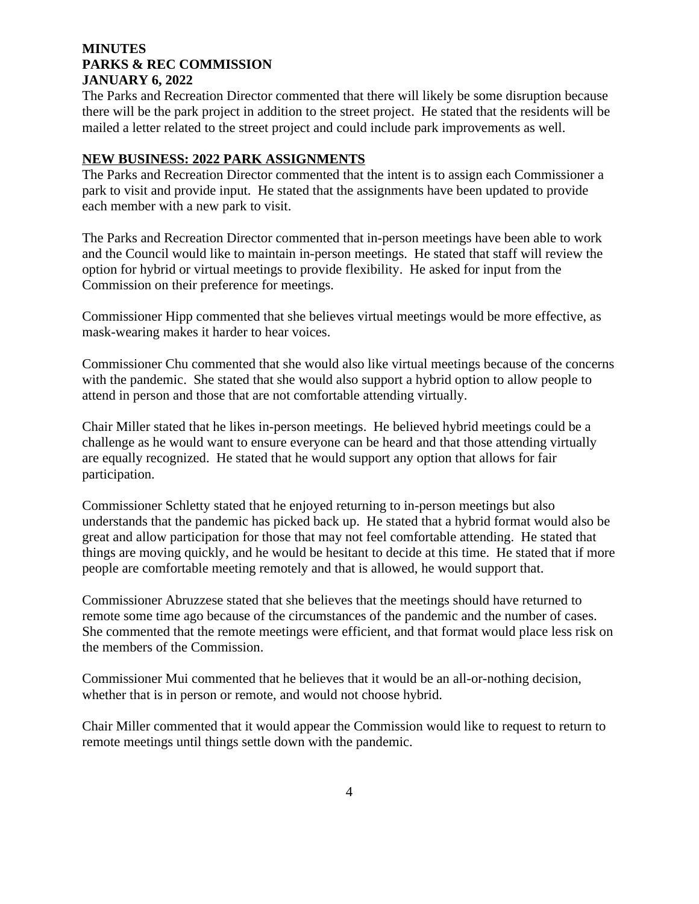The Parks and Recreation Director commented that there will likely be some disruption because there will be the park project in addition to the street project. He stated that the residents will be mailed a letter related to the street project and could include park improvements as well.

#### **NEW BUSINESS: 2022 PARK ASSIGNMENTS**

The Parks and Recreation Director commented that the intent is to assign each Commissioner a park to visit and provide input. He stated that the assignments have been updated to provide each member with a new park to visit.

The Parks and Recreation Director commented that in-person meetings have been able to work and the Council would like to maintain in-person meetings. He stated that staff will review the option for hybrid or virtual meetings to provide flexibility. He asked for input from the Commission on their preference for meetings.

Commissioner Hipp commented that she believes virtual meetings would be more effective, as mask-wearing makes it harder to hear voices.

Commissioner Chu commented that she would also like virtual meetings because of the concerns with the pandemic. She stated that she would also support a hybrid option to allow people to attend in person and those that are not comfortable attending virtually.

Chair Miller stated that he likes in-person meetings. He believed hybrid meetings could be a challenge as he would want to ensure everyone can be heard and that those attending virtually are equally recognized. He stated that he would support any option that allows for fair participation.

Commissioner Schletty stated that he enjoyed returning to in-person meetings but also understands that the pandemic has picked back up. He stated that a hybrid format would also be great and allow participation for those that may not feel comfortable attending. He stated that things are moving quickly, and he would be hesitant to decide at this time. He stated that if more people are comfortable meeting remotely and that is allowed, he would support that.

Commissioner Abruzzese stated that she believes that the meetings should have returned to remote some time ago because of the circumstances of the pandemic and the number of cases. She commented that the remote meetings were efficient, and that format would place less risk on the members of the Commission.

Commissioner Mui commented that he believes that it would be an all-or-nothing decision, whether that is in person or remote, and would not choose hybrid.

Chair Miller commented that it would appear the Commission would like to request to return to remote meetings until things settle down with the pandemic.